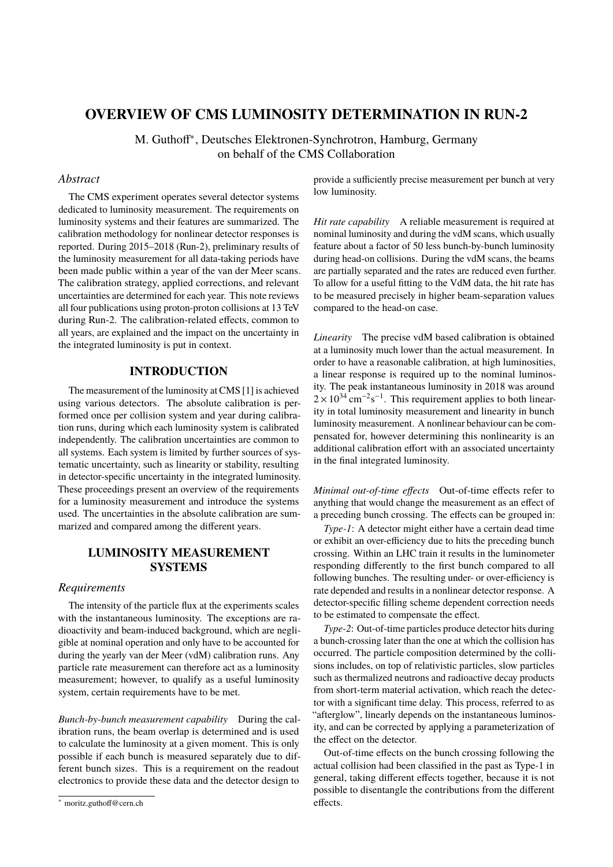# **OVERVIEW OF CMS LUMINOSITY DETERMINATION IN RUN-2**

M. Guthoff<sup>∗</sup> , Deutsches Elektronen-Synchrotron, Hamburg, Germany on behalf of the CMS Collaboration

# *Abstract*

The CMS experiment operates several detector systems dedicated to luminosity measurement. The requirements on luminosity systems and their features are summarized. The calibration methodology for nonlinear detector responses is reported. During 2015–2018 (Run-2), preliminary results of the luminosity measurement for all data-taking periods have been made public within a year of the van der Meer scans. The calibration strategy, applied corrections, and relevant uncertainties are determined for each year. This note reviews all four publications using proton-proton collisions at 13 TeV during Run-2. The calibration-related effects, common to all years, are explained and the impact on the uncertainty in the integrated luminosity is put in context.

## **INTRODUCTION**

The measurement of the luminosity at CMS [\[1\]](#page-5-0) is achieved using various detectors. The absolute calibration is performed once per collision system and year during calibration runs, during which each luminosity system is calibrated independently. The calibration uncertainties are common to all systems. Each system is limited by further sources of systematic uncertainty, such as linearity or stability, resulting in detector-specific uncertainty in the integrated luminosity. These proceedings present an overview of the requirements for a luminosity measurement and introduce the systems used. The uncertainties in the absolute calibration are summarized and compared among the different years.

# **LUMINOSITY MEASUREMENT SYSTEMS**

## *Requirements*

The intensity of the particle flux at the experiments scales with the instantaneous luminosity. The exceptions are radioactivity and beam-induced background, which are negligible at nominal operation and only have to be accounted for during the yearly van der Meer (vdM) calibration runs. Any particle rate measurement can therefore act as a luminosity measurement; however, to qualify as a useful luminosity system, certain requirements have to be met.

*Bunch-by-bunch measurement capability* During the calibration runs, the beam overlap is determined and is used to calculate the luminosity at a given moment. This is only possible if each bunch is measured separately due to different bunch sizes. This is a requirement on the readout electronics to provide these data and the detector design to

provide a sufficiently precise measurement per bunch at very low luminosity.

*Hit rate capability* A reliable measurement is required at nominal luminosity and during the vdM scans, which usually feature about a factor of 50 less bunch-by-bunch luminosity during head-on collisions. During the vdM scans, the beams are partially separated and the rates are reduced even further. To allow for a useful fitting to the VdM data, the hit rate has to be measured precisely in higher beam-separation values compared to the head-on case.

*Linearity* The precise vdM based calibration is obtained at a luminosity much lower than the actual measurement. In order to have a reasonable calibration, at high luminosities, a linear response is required up to the nominal luminosity. The peak instantaneous luminosity in 2018 was around  $2 \times 10^{34}$  cm<sup>-2</sup>s<sup>-1</sup>. This requirement applies to both linearity in total luminosity measurement and linearity in bunch luminosity measurement. A nonlinear behaviour can be compensated for, however determining this nonlinearity is an additional calibration effort with an associated uncertainty in the final integrated luminosity.

*Minimal out-of-time effects* Out-of-time effects refer to anything that would change the measurement as an effect of a preceding bunch crossing. The effects can be grouped in:

*Type-1*: A detector might either have a certain dead time or exhibit an over-efficiency due to hits the preceding bunch crossing. Within an LHC train it results in the luminometer responding differently to the first bunch compared to all following bunches. The resulting under- or over-efficiency is rate depended and results in a nonlinear detector response. A detector-specific filling scheme dependent correction needs to be estimated to compensate the effect.

*Type-2*: Out-of-time particles produce detector hits during a bunch-crossing later than the one at which the collision has occurred. The particle composition determined by the collisions includes, on top of relativistic particles, slow particles such as thermalized neutrons and radioactive decay products from short-term material activation, which reach the detector with a significant time delay. This process, referred to as "afterglow", linearly depends on the instantaneous luminosity, and can be corrected by applying a parameterization of the effect on the detector.

Out-of-time effects on the bunch crossing following the actual collision had been classified in the past as Type-1 in general, taking different effects together, because it is not possible to disentangle the contributions from the different effects.

<sup>∗</sup> [moritz.guthoff@cern.ch](mailto:moritz.guthoff@cern.ch)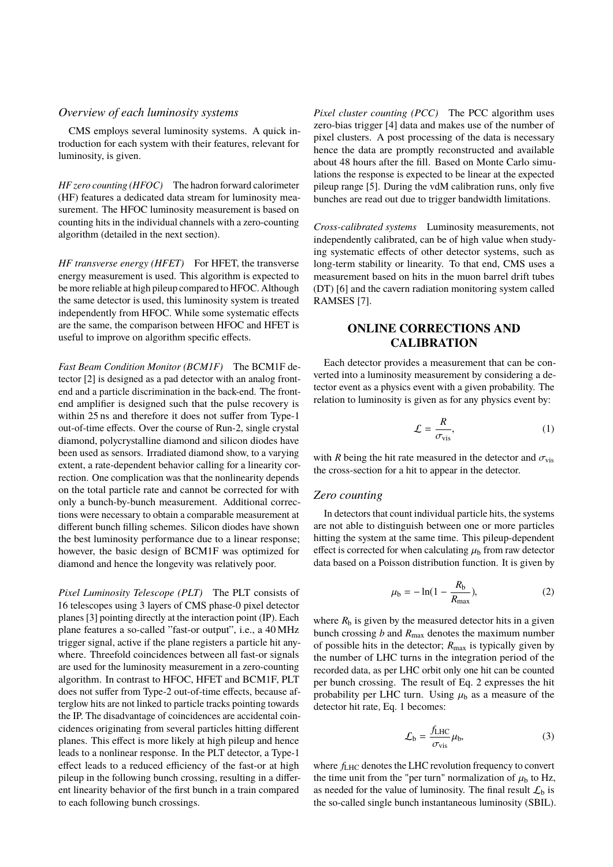## *Overview of each luminosity systems*

CMS employs several luminosity systems. A quick introduction for each system with their features, relevant for luminosity, is given.

*HF zero counting (HFOC)* The hadron forward calorimeter (HF) features a dedicated data stream for luminosity measurement. The HFOC luminosity measurement is based on counting hits in the individual channels with a zero-counting algorithm (detailed in the next section).

*HF transverse energy (HFET)* For HFET, the transverse energy measurement is used. This algorithm is expected to be more reliable at high pileup compared to HFOC. Although the same detector is used, this luminosity system is treated independently from HFOC. While some systematic effects are the same, the comparison between HFOC and HFET is useful to improve on algorithm specific effects.

*Fast Beam Condition Monitor (BCM1F)* The BCM1F detector [\[2\]](#page-5-1) is designed as a pad detector with an analog frontend and a particle discrimination in the back-end. The frontend amplifier is designed such that the pulse recovery is within 25 ns and therefore it does not suffer from Type-1 out-of-time effects. Over the course of Run-2, single crystal diamond, polycrystalline diamond and silicon diodes have been used as sensors. Irradiated diamond show, to a varying extent, a rate-dependent behavior calling for a linearity correction. One complication was that the nonlinearity depends on the total particle rate and cannot be corrected for with only a bunch-by-bunch measurement. Additional corrections were necessary to obtain a comparable measurement at different bunch filling schemes. Silicon diodes have shown the best luminosity performance due to a linear response; however, the basic design of BCM1F was optimized for diamond and hence the longevity was relatively poor.

*Pixel Luminosity Telescope (PLT)* The PLT consists of 16 telescopes using 3 layers of CMS phase-0 pixel detector planes [\[3\]](#page-5-2) pointing directly at the interaction point (IP). Each plane features a so-called "fast-or output", i.e., a 40 MHz trigger signal, active if the plane registers a particle hit anywhere. Threefold coincidences between all fast-or signals are used for the luminosity measurement in a zero-counting algorithm. In contrast to HFOC, HFET and BCM1F, PLT does not suffer from Type-2 out-of-time effects, because afterglow hits are not linked to particle tracks pointing towards the IP. The disadvantage of coincidences are accidental coincidences originating from several particles hitting different planes. This effect is more likely at high pileup and hence leads to a nonlinear response. In the PLT detector, a Type-1 effect leads to a reduced efficiency of the fast-or at high pileup in the following bunch crossing, resulting in a different linearity behavior of the first bunch in a train compared to each following bunch crossings.

*Pixel cluster counting (PCC)* The PCC algorithm uses zero-bias trigger [\[4\]](#page-5-3) data and makes use of the number of pixel clusters. A post processing of the data is necessary hence the data are promptly reconstructed and available about 48 hours after the fill. Based on Monte Carlo simulations the response is expected to be linear at the expected pileup range [\[5\]](#page-5-4). During the vdM calibration runs, only five bunches are read out due to trigger bandwidth limitations.

*Cross-calibrated systems* Luminosity measurements, not independently calibrated, can be of high value when studying systematic effects of other detector systems, such as long-term stability or linearity. To that end, CMS uses a measurement based on hits in the muon barrel drift tubes (DT) [\[6\]](#page-5-5) and the cavern radiation monitoring system called RAMSES [\[7\]](#page-5-6).

# **ONLINE CORRECTIONS AND CALIBRATION**

Each detector provides a measurement that can be converted into a luminosity measurement by considering a detector event as a physics event with a given probability. The relation to luminosity is given as for any physics event by:

<span id="page-1-1"></span>
$$
\mathcal{L} = \frac{R}{\sigma_{\text{vis}}},\tag{1}
$$

with *R* being the hit rate measured in the detector and  $\sigma_{\text{vis}}$ the cross-section for a hit to appear in the detector.

## *Zero counting*

In detectors that count individual particle hits, the systems are not able to distinguish between one or more particles hitting the system at the same time. This pileup-dependent effect is corrected for when calculating  $\mu_b$  from raw detector data based on a Poisson distribution function. It is given by

<span id="page-1-0"></span>
$$
\mu_{b} = -\ln(1 - \frac{R_{b}}{R_{\text{max}}}),
$$
\n(2)

where  $R<sub>b</sub>$  is given by the measured detector hits in a given bunch crossing *b* and *R*max denotes the maximum number of possible hits in the detector; *R*max is typically given by the number of LHC turns in the integration period of the recorded data, as per LHC orbit only one hit can be counted per bunch crossing. The result of Eq. [2](#page-1-0) expresses the hit probability per LHC turn. Using  $\mu_b$  as a measure of the detector hit rate, Eq. [1](#page-1-1) becomes:

<span id="page-1-2"></span>
$$
\mathcal{L}_{\rm b} = \frac{f_{\rm LHC}}{\sigma_{\rm vis}} \mu_{\rm b},\tag{3}
$$

where  $f_{\text{LHC}}$  denotes the LHC revolution frequency to convert the time unit from the "per turn" normalization of  $\mu_b$  to Hz, as needed for the value of luminosity. The final result  $\mathcal{L}_b$  is the so-called single bunch instantaneous luminosity (SBIL).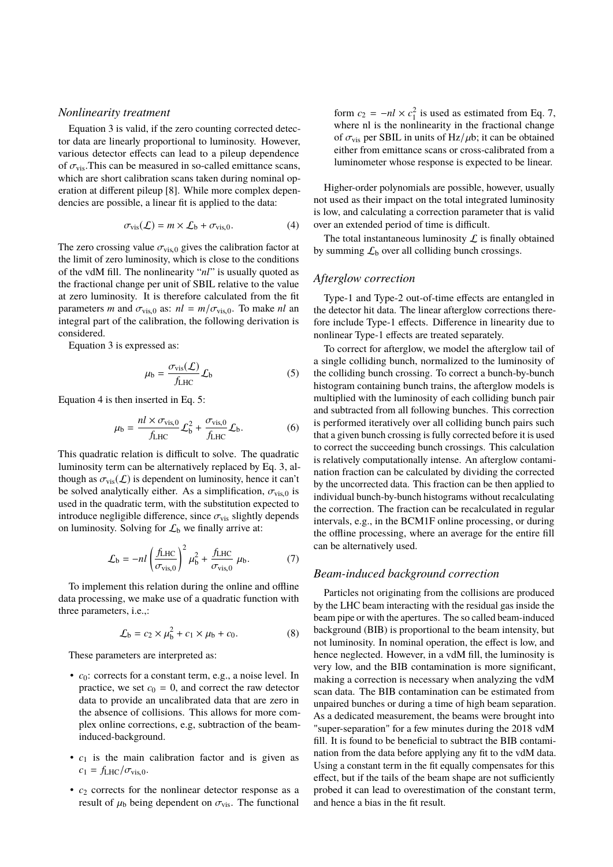## *Nonlinearity treatment*

Equation [3](#page-1-2) is valid, if the zero counting corrected detector data are linearly proportional to luminosity. However, various detector effects can lead to a pileup dependence of  $\sigma_{\text{vis}}$ . This can be measured in so-called emittance scans, which are short calibration scans taken during nominal operation at different pileup [\[8\]](#page-5-7). While more complex dependencies are possible, a linear fit is applied to the data:

<span id="page-2-0"></span>
$$
\sigma_{\rm vis}(\mathcal{L}) = m \times \mathcal{L}_{\rm b} + \sigma_{\rm vis,0}.
$$
 (4)

The zero crossing value  $\sigma_{vis,0}$  gives the calibration factor at the limit of zero luminosity, which is close to the conditions of the vdM fill. The nonlinearity "*nl*" is usually quoted as the fractional change per unit of SBIL relative to the value at zero luminosity. It is therefore calculated from the fit parameters *m* and  $\sigma_{vis,0}$  as:  $nl = m/\sigma_{vis,0}$ . To make *nl* an integral part of the calibration, the following derivation is considered.

Equation [3](#page-1-2) is expressed as:

<span id="page-2-1"></span>
$$
\mu_{b} = \frac{\sigma_{\text{vis}}(\mathcal{L})}{f_{\text{LHC}}} \mathcal{L}_{b}
$$
 (5)

Equation [4](#page-2-0) is then inserted in Eq. [5:](#page-2-1)

$$
\mu_{\rm b} = \frac{nl \times \sigma_{\rm vis,0}}{f_{\rm LHC}} \mathcal{L}_{\rm b}^2 + \frac{\sigma_{\rm vis,0}}{f_{\rm LHC}} \mathcal{L}_{\rm b}.
$$
 (6)

This quadratic relation is difficult to solve. The quadratic luminosity term can be alternatively replaced by Eq. [3,](#page-1-2) although as  $\sigma_{\text{vis}}(\mathcal{L})$  is dependent on luminosity, hence it can't be solved analytically either. As a simplification,  $\sigma_{vis,0}$  is used in the quadratic term, with the substitution expected to introduce negligible difference, since  $\sigma_{\rm vis}$  slightly depends on luminosity. Solving for  $\mathcal{L}_b$  we finally arrive at:

<span id="page-2-2"></span>
$$
\mathcal{L}_{\rm b} = -nl \left( \frac{f_{\rm LHC}}{\sigma_{\rm vis,0}} \right)^2 \mu_{\rm b}^2 + \frac{f_{\rm LHC}}{\sigma_{\rm vis,0}} \mu_{\rm b}.
$$
 (7)

To implement this relation during the online and offline data processing, we make use of a quadratic function with three parameters, i.e.,:

$$
\mathcal{L}_{b} = c_2 \times \mu_b^2 + c_1 \times \mu_b + c_0. \tag{8}
$$

These parameters are interpreted as:

- *c*0: corrects for a constant term, e.g., a noise level. In practice, we set  $c_0 = 0$ , and correct the raw detector data to provide an uncalibrated data that are zero in the absence of collisions. This allows for more complex online corrections, e.g, subtraction of the beaminduced-background.
- $\bullet$   $c_1$  is the main calibration factor and is given as  $c_1 = f_{LHC}/\sigma_{vis.0}$ .
- $c_2$  corrects for the nonlinear detector response as a result of  $\mu_b$  being dependent on  $\sigma_{vis}$ . The functional

form  $c_2 = -nl \times c_1^2$  is used as estimated from Eq. [7,](#page-2-2) where nl is the nonlinearity in the fractional change of  $\sigma_{\rm vis}$  per SBIL in units of Hz/ $\mu$ b; it can be obtained either from emittance scans or cross-calibrated from a luminometer whose response is expected to be linear.

Higher-order polynomials are possible, however, usually not used as their impact on the total integrated luminosity is low, and calculating a correction parameter that is valid over an extended period of time is difficult.

The total instantaneous luminosity  $\mathcal L$  is finally obtained by summing  $\mathcal{L}_b$  over all colliding bunch crossings.

## *Afterglow correction*

Type-1 and Type-2 out-of-time effects are entangled in the detector hit data. The linear afterglow corrections therefore include Type-1 effects. Difference in linearity due to nonlinear Type-1 effects are treated separately.

To correct for afterglow, we model the afterglow tail of a single colliding bunch, normalized to the luminosity of the colliding bunch crossing. To correct a bunch-by-bunch histogram containing bunch trains, the afterglow models is multiplied with the luminosity of each colliding bunch pair and subtracted from all following bunches. This correction is performed iteratively over all colliding bunch pairs such that a given bunch crossing is fully corrected before it is used to correct the succeeding bunch crossings. This calculation is relatively computationally intense. An afterglow contamination fraction can be calculated by dividing the corrected by the uncorrected data. This fraction can be then applied to individual bunch-by-bunch histograms without recalculating the correction. The fraction can be recalculated in regular intervals, e.g., in the BCM1F online processing, or during the offline processing, where an average for the entire fill can be alternatively used.

## *Beam-induced background correction*

Particles not originating from the collisions are produced by the LHC beam interacting with the residual gas inside the beam pipe or with the apertures. The so called beam-induced background (BIB) is proportional to the beam intensity, but not luminosity. In nominal operation, the effect is low, and hence neglected. However, in a vdM fill, the luminosity is very low, and the BIB contamination is more significant, making a correction is necessary when analyzing the vdM scan data. The BIB contamination can be estimated from unpaired bunches or during a time of high beam separation. As a dedicated measurement, the beams were brought into "super-separation" for a few minutes during the 2018 vdM fill. It is found to be beneficial to subtract the BIB contamination from the data before applying any fit to the vdM data. Using a constant term in the fit equally compensates for this effect, but if the tails of the beam shape are not sufficiently probed it can lead to overestimation of the constant term, and hence a bias in the fit result.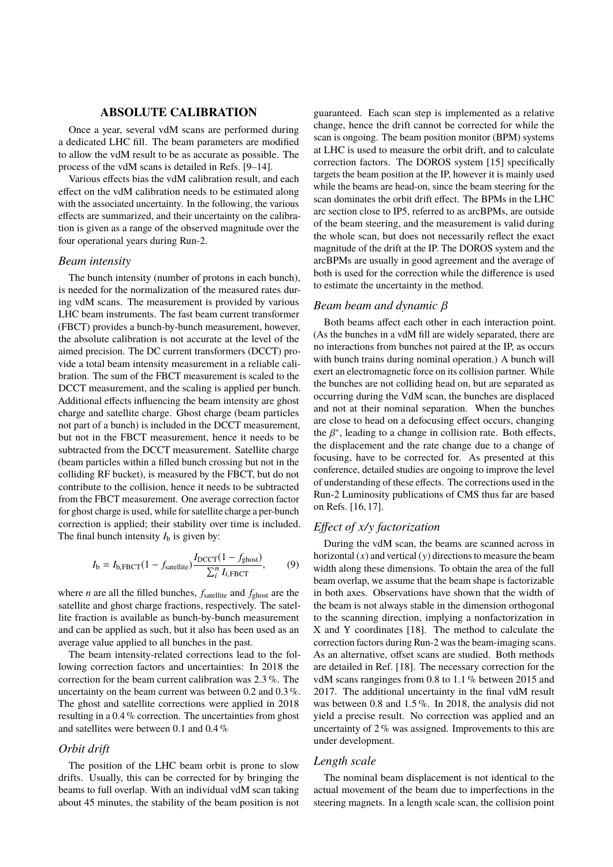#### **ABSOLUTE CALIBRATION**

Once a year, several vdM scans are performed during a dedicated LHC fill. The beam parameters are modified to allow the vdM result to be as accurate as possible. The process of the vdM scans is detailed in Refs. [\[9](#page-5-8)[–14\]](#page-5-9).

Various effects bias the vdM calibration result, and each effect on the vdM calibration needs to be estimated along with the associated uncertainty. In the following, the various effects are summarized, and their uncertainty on the calibration is given as a range of the observed magnitude over the four operational years during Run-2.

#### *Beam intensity*

The bunch intensity (number of protons in each bunch), is needed for the normalization of the measured rates during vdM scans. The measurement is provided by various LHC beam instruments. The fast beam current transformer (FBCT) provides a bunch-by-bunch measurement, however, the absolute calibration is not accurate at the level of the aimed precision. The DC current transformers (DCCT) provide a total beam intensity measurement in a reliable calibration. The sum of the FBCT measurement is scaled to the DCCT measurement, and the scaling is applied per bunch. Additional effects influencing the beam intensity are ghost charge and satellite charge. Ghost charge (beam particles not part of a bunch) is included in the DCCT measurement, but not in the FBCT measurement, hence it needs to be subtracted from the DCCT measurement. Satellite charge (beam particles within a filled bunch crossing but not in the colliding RF bucket), is measured by the FBCT, but do not contribute to the collision, hence it needs to be subtracted from the FBCT measurement. One average correction factor for ghost charge is used, while for satellite charge a per-bunch correction is applied; their stability over time is included. The final bunch intensity  $I<sub>b</sub>$  is given by:

$$
I_{\rm b} = I_{\rm b, FBCT} (1 - f_{\rm satellite}) \frac{I_{\rm DCCT} (1 - f_{\rm ghost})}{\sum_{i}^{n} I_{i, \rm FBCT}},
$$
(9)

where *n* are all the filled bunches,  $f_{\text{satellite}}$  and  $f_{\text{ghost}}$  are the satellite and ghost charge fractions, respectively. The satellite fraction is available as bunch-by-bunch measurement and can be applied as such, but it also has been used as an average value applied to all bunches in the past.

The beam intensity-related corrections lead to the following correction factors and uncertainties: In 2018 the correction for the beam current calibration was 2.3 %. The uncertainty on the beam current was between 0.2 and 0.3 %. The ghost and satellite corrections were applied in 2018 resulting in a 0.4 % correction. The uncertainties from ghost and satellites were between 0.1 and 0.4 %

## *Orbit drift*

The position of the LHC beam orbit is prone to slow drifts. Usually, this can be corrected for by bringing the beams to full overlap. With an individual vdM scan taking about 45 minutes, the stability of the beam position is not guaranteed. Each scan step is implemented as a relative change, hence the drift cannot be corrected for while the scan is ongoing. The beam position monitor (BPM) systems at LHC is used to measure the orbit drift, and to calculate correction factors. The DOROS system [\[15\]](#page-5-10) specifically targets the beam position at the IP, however it is mainly used while the beams are head-on, since the beam steering for the scan dominates the orbit drift effect. The BPMs in the LHC arc section close to IP5, referred to as arcBPMs, are outside of the beam steering, and the measurement is valid during the whole scan, but does not necessarily reflect the exact magnitude of the drift at the IP. The DOROS system and the arcBPMs are usually in good agreement and the average of both is used for the correction while the difference is used to estimate the uncertainty in the method.

#### *Beam beam and dynamic* β

Both beams affect each other in each interaction point. (As the bunches in a vdM fill are widely separated, there are no interactions from bunches not paired at the IP, as occurs with bunch trains during nominal operation.) A bunch will exert an electromagnetic force on its collision partner. While the bunches are not colliding head on, but are separated as occurring during the VdM scan, the bunches are displaced and not at their nominal separation. When the bunches are close to head on a defocusing effect occurs, changing the  $\beta^*$ , leading to a change in collision rate. Both effects, the displacement and the rate change due to a change of the displacement and the rate change due to a change of focusing, have to be corrected for. As presented at this conference, detailed studies are ongoing to improve the level of understanding of these effects. The corrections used in the Run-2 Luminosity publications of CMS thus far are based on Refs. [\[16,](#page-5-11) [17\]](#page-5-12).

# *Effect of x/*y *factorization*

During the vdM scan, the beams are scanned across in horizontal  $(x)$  and vertical  $(y)$  directions to measure the beam width along these dimensions. To obtain the area of the full beam overlap, we assume that the beam shape is factorizable in both axes. Observations have shown that the width of the beam is not always stable in the dimension orthogonal to the scanning direction, implying a nonfactorization in X and Y coordinates [\[18\]](#page-5-13). The method to calculate the correction factors during Run-2 was the beam-imaging scans. As an alternative, offset scans are studied. Both methods are detailed in Ref. [\[18\]](#page-5-13). The necessary correction for the vdM scans ranginges from 0.8 to 1.1 % between 2015 and 2017. The additional uncertainty in the final vdM result was between 0.8 and 1.5 %. In 2018, the analysis did not yield a precise result. No correction was applied and an uncertainty of 2 % was assigned. Improvements to this are under development.

## *Length scale*

The nominal beam displacement is not identical to the actual movement of the beam due to imperfections in the steering magnets. In a length scale scan, the collision point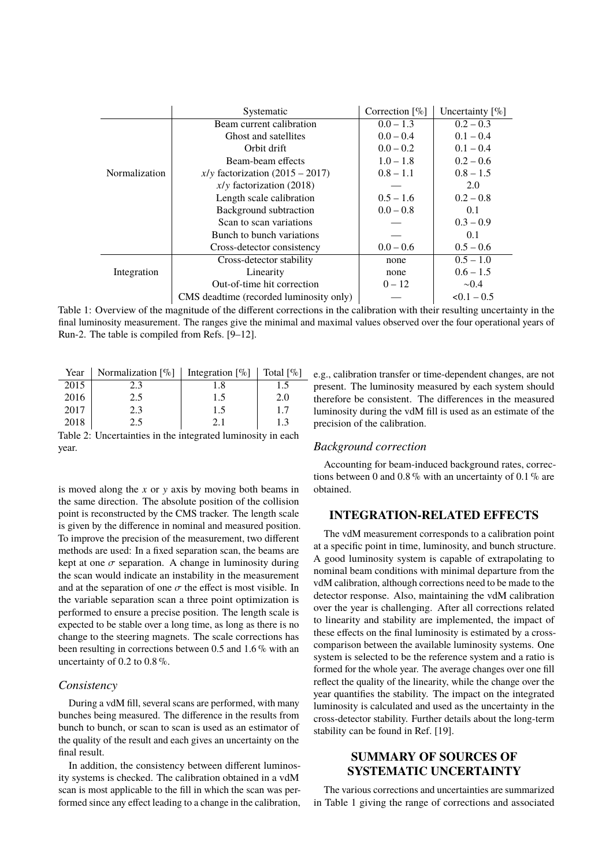<span id="page-4-0"></span>

|               | Systematic                              | Correction $[\%]$ | Uncertainty $[\%]$ |
|---------------|-----------------------------------------|-------------------|--------------------|
|               | Beam current calibration                | $0.0 - 1.3$       | $0.2 - 0.3$        |
|               | Ghost and satellites                    | $0.0 - 0.4$       | $0.1 - 0.4$        |
|               | Orbit drift                             | $0.0 - 0.2$       | $0.1 - 0.4$        |
| Normalization | Beam-beam effects                       | $1.0 - 1.8$       | $0.2 - 0.6$        |
|               | $x/y$ factorization (2015 – 2017)       | $0.8 - 1.1$       | $0.8 - 1.5$        |
|               | $x/y$ factorization (2018)              |                   | 2.0                |
|               | Length scale calibration                | $0.5 - 1.6$       | $0.2 - 0.8$        |
|               | Background subtraction                  | $0.0 - 0.8$       | 0.1                |
|               | Scan to scan variations                 |                   | $0.3 - 0.9$        |
|               | Bunch to bunch variations               |                   | 0.1                |
|               | Cross-detector consistency              | $0.0 - 0.6$       | $0.5 - 0.6$        |
|               | Cross-detector stability                | none              | $0.5 - 1.0$        |
| Integration   | Linearity                               | none              | $0.6 - 1.5$        |
|               | Out-of-time hit correction              | $0 - 12$          | $\sim 0.4$         |
|               | CMS deadtime (recorded luminosity only) |                   | $< 0.1 - 0.5$      |

Table 1: Overview of the magnitude of the different corrections in the calibration with their resulting uncertainty in the final luminosity measurement. The ranges give the minimal and maximal values observed over the four operational years of Run-2. The table is compiled from Refs. [\[9–](#page-5-8)[12\]](#page-5-14).

<span id="page-4-1"></span>

| Year | Normalization $[\%]$   Integration $[\%]$ |     | Total $\lceil \% \rceil$ |
|------|-------------------------------------------|-----|--------------------------|
| 2015 | 2.3                                       | 1.8 |                          |
| 2016 | 2.5                                       | 1.5 | 2.0                      |
| 2017 | 2.3                                       | 1.5 | 1.7                      |
| 2018 | 2.5                                       |     | 1.3                      |

Table 2: Uncertainties in the integrated luminosity in each year.

is moved along the *x* or y axis by moving both beams in the same direction. The absolute position of the collision point is reconstructed by the CMS tracker. The length scale is given by the difference in nominal and measured position. To improve the precision of the measurement, two different methods are used: In a fixed separation scan, the beams are kept at one  $\sigma$  separation. A change in luminosity during the scan would indicate an instability in the measurement and at the separation of one  $\sigma$  the effect is most visible. In the variable separation scan a three point optimization is performed to ensure a precise position. The length scale is expected to be stable over a long time, as long as there is no change to the steering magnets. The scale corrections has been resulting in corrections between 0.5 and 1.6 % with an uncertainty of  $0.2$  to  $0.8\%$ .

#### *Consistency*

During a vdM fill, several scans are performed, with many bunches being measured. The difference in the results from bunch to bunch, or scan to scan is used as an estimator of the quality of the result and each gives an uncertainty on the final result.

In addition, the consistency between different luminosity systems is checked. The calibration obtained in a vdM scan is most applicable to the fill in which the scan was performed since any effect leading to a change in the calibration,

e.g., calibration transfer or time-dependent changes, are not present. The luminosity measured by each system should therefore be consistent. The differences in the measured luminosity during the vdM fill is used as an estimate of the precision of the calibration.

## *Background correction*

Accounting for beam-induced background rates, corrections between 0 and 0.8 % with an uncertainty of 0.1 % are obtained.

# **INTEGRATION-RELATED EFFECTS**

The vdM measurement corresponds to a calibration point at a specific point in time, luminosity, and bunch structure. A good luminosity system is capable of extrapolating to nominal beam conditions with minimal departure from the vdM calibration, although corrections need to be made to the detector response. Also, maintaining the vdM calibration over the year is challenging. After all corrections related to linearity and stability are implemented, the impact of these effects on the final luminosity is estimated by a crosscomparison between the available luminosity systems. One system is selected to be the reference system and a ratio is formed for the whole year. The average changes over one fill reflect the quality of the linearity, while the change over the year quantifies the stability. The impact on the integrated luminosity is calculated and used as the uncertainty in the cross-detector stability. Further details about the long-term stability can be found in Ref. [\[19\]](#page-5-15).

# **SUMMARY OF SOURCES OF SYSTEMATIC UNCERTAINTY**

The various corrections and uncertainties are summarized in Table [1](#page-4-0) giving the range of corrections and associated